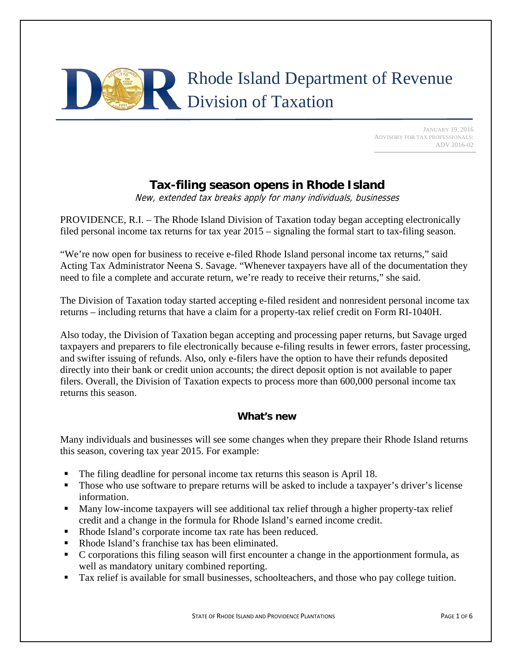

 JANUARY 19, 2016 ADVISORY FOR TAX PROFESSIONALS: ADV 2016-02

# **Tax-filing season opens in Rhode Island**

New, extended tax breaks apply for many individuals, businesses

PROVIDENCE, R.I. – The Rhode Island Division of Taxation today began accepting electronically filed personal income tax returns for tax year 2015 – signaling the formal start to tax-filing season.

"We're now open for business to receive e-filed Rhode Island personal income tax returns," said Acting Tax Administrator Neena S. Savage. "Whenever taxpayers have all of the documentation they need to file a complete and accurate return, we're ready to receive their returns," she said.

The Division of Taxation today started accepting e-filed resident and nonresident personal income tax returns – including returns that have a claim for a property-tax relief credit on Form RI-1040H.

Also today, the Division of Taxation began accepting and processing paper returns, but Savage urged taxpayers and preparers to file electronically because e-filing results in fewer errors, faster processing, and swifter issuing of refunds. Also, only e-filers have the option to have their refunds deposited directly into their bank or credit union accounts; the direct deposit option is not available to paper filers. Overall, the Division of Taxation expects to process more than 600,000 personal income tax returns this season.

### **What's new**

Many individuals and businesses will see some changes when they prepare their Rhode Island returns this season, covering tax year 2015. For example:

- The filing deadline for personal income tax returns this season is April 18.
- Those who use software to prepare returns will be asked to include a taxpayer's driver's license information.
- Many low-income taxpayers will see additional tax relief through a higher property-tax relief credit and a change in the formula for Rhode Island's earned income credit.
- Rhode Island's corporate income tax rate has been reduced.
- Rhode Island's franchise tax has been eliminated.
- C corporations this filing season will first encounter a change in the apportionment formula, as well as mandatory unitary combined reporting.
- Tax relief is available for small businesses, schoolteachers, and those who pay college tuition.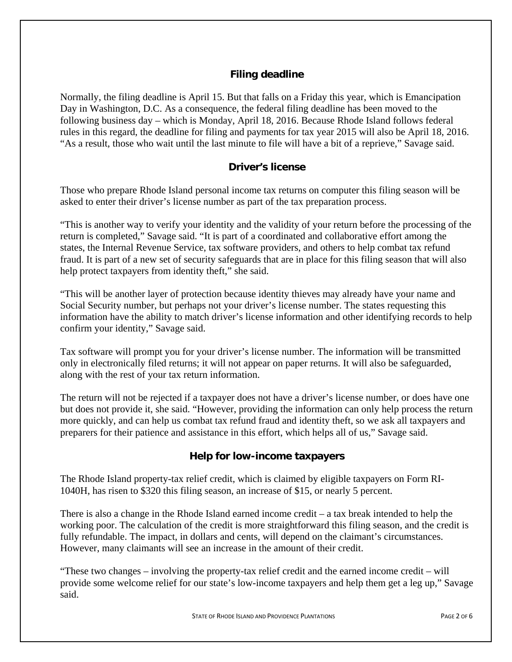## **Filing deadline**

Normally, the filing deadline is April 15. But that falls on a Friday this year, which is Emancipation Day in Washington, D.C. As a consequence, the federal filing deadline has been moved to the following business day – which is Monday, April 18, 2016. Because Rhode Island follows federal rules in this regard, the deadline for filing and payments for tax year 2015 will also be April 18, 2016. "As a result, those who wait until the last minute to file will have a bit of a reprieve," Savage said.

### **Driver's license**

Those who prepare Rhode Island personal income tax returns on computer this filing season will be asked to enter their driver's license number as part of the tax preparation process.

"This is another way to verify your identity and the validity of your return before the processing of the return is completed," Savage said. "It is part of a coordinated and collaborative effort among the states, the Internal Revenue Service, tax software providers, and others to help combat tax refund fraud. It is part of a new set of security safeguards that are in place for this filing season that will also help protect taxpayers from identity theft," she said.

"This will be another layer of protection because identity thieves may already have your name and Social Security number, but perhaps not your driver's license number. The states requesting this information have the ability to match driver's license information and other identifying records to help confirm your identity," Savage said.

Tax software will prompt you for your driver's license number. The information will be transmitted only in electronically filed returns; it will not appear on paper returns. It will also be safeguarded, along with the rest of your tax return information.

The return will not be rejected if a taxpayer does not have a driver's license number, or does have one but does not provide it, she said. "However, providing the information can only help process the return more quickly, and can help us combat tax refund fraud and identity theft, so we ask all taxpayers and preparers for their patience and assistance in this effort, which helps all of us," Savage said.

### **Help for low-income taxpayers**

The Rhode Island property-tax relief credit, which is claimed by eligible taxpayers on Form RI-1040H, has risen to \$320 this filing season, an increase of \$15, or nearly 5 percent.

There is also a change in the Rhode Island earned income credit – a tax break intended to help the working poor. The calculation of the credit is more straightforward this filing season, and the credit is fully refundable. The impact, in dollars and cents, will depend on the claimant's circumstances. However, many claimants will see an increase in the amount of their credit.

"These two changes – involving the property-tax relief credit and the earned income credit – will provide some welcome relief for our state's low-income taxpayers and help them get a leg up," Savage said.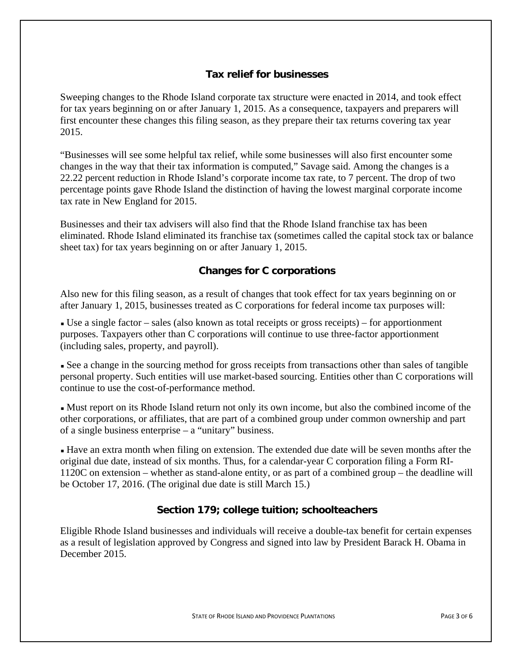### **Tax relief for businesses**

Sweeping changes to the Rhode Island corporate tax structure were enacted in 2014, and took effect for tax years beginning on or after January 1, 2015. As a consequence, taxpayers and preparers will first encounter these changes this filing season, as they prepare their tax returns covering tax year 2015.

"Businesses will see some helpful tax relief, while some businesses will also first encounter some changes in the way that their tax information is computed," Savage said. Among the changes is a 22.22 percent reduction in Rhode Island's corporate income tax rate, to 7 percent. The drop of two percentage points gave Rhode Island the distinction of having the lowest marginal corporate income tax rate in New England for 2015.

Businesses and their tax advisers will also find that the Rhode Island franchise tax has been eliminated. Rhode Island eliminated its franchise tax (sometimes called the capital stock tax or balance sheet tax) for tax years beginning on or after January 1, 2015.

### **Changes for C corporations**

Also new for this filing season, as a result of changes that took effect for tax years beginning on or after January 1, 2015, businesses treated as C corporations for federal income tax purposes will:

 Use a single factor – sales (also known as total receipts or gross receipts) – for apportionment purposes. Taxpayers other than C corporations will continue to use three-factor apportionment (including sales, property, and payroll).

 See a change in the sourcing method for gross receipts from transactions other than sales of tangible personal property. Such entities will use market-based sourcing. Entities other than C corporations will continue to use the cost-of-performance method.

 Must report on its Rhode Island return not only its own income, but also the combined income of the other corporations, or affiliates, that are part of a combined group under common ownership and part of a single business enterprise – a "unitary" business.

 Have an extra month when filing on extension. The extended due date will be seven months after the original due date, instead of six months. Thus, for a calendar-year C corporation filing a Form RI-1120C on extension – whether as stand-alone entity, or as part of a combined group – the deadline will be October 17, 2016. (The original due date is still March 15.)

### **Section 179; college tuition; schoolteachers**

Eligible Rhode Island businesses and individuals will receive a double-tax benefit for certain expenses as a result of legislation approved by Congress and signed into law by President Barack H. Obama in December 2015.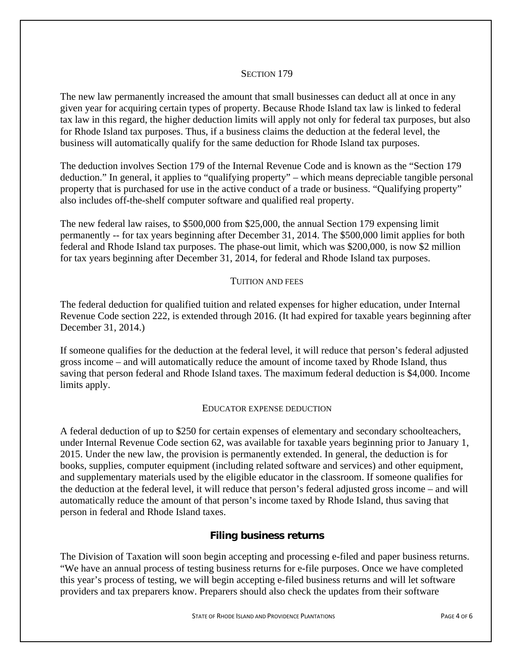#### SECTION 179

The new law permanently increased the amount that small businesses can deduct all at once in any given year for acquiring certain types of property. Because Rhode Island tax law is linked to federal tax law in this regard, the higher deduction limits will apply not only for federal tax purposes, but also for Rhode Island tax purposes. Thus, if a business claims the deduction at the federal level, the business will automatically qualify for the same deduction for Rhode Island tax purposes.

The deduction involves Section 179 of the Internal Revenue Code and is known as the "Section 179 deduction." In general, it applies to "qualifying property" – which means depreciable tangible personal property that is purchased for use in the active conduct of a trade or business. "Qualifying property" also includes off-the-shelf computer software and qualified real property.

The new federal law raises, to \$500,000 from \$25,000, the annual Section 179 expensing limit permanently -- for tax years beginning after December 31, 2014. The \$500,000 limit applies for both federal and Rhode Island tax purposes. The phase-out limit, which was \$200,000, is now \$2 million for tax years beginning after December 31, 2014, for federal and Rhode Island tax purposes.

### TUITION AND FEES

The federal deduction for qualified tuition and related expenses for higher education, under Internal Revenue Code section 222, is extended through 2016. (It had expired for taxable years beginning after December 31, 2014.)

If someone qualifies for the deduction at the federal level, it will reduce that person's federal adjusted gross income – and will automatically reduce the amount of income taxed by Rhode Island, thus saving that person federal and Rhode Island taxes. The maximum federal deduction is \$4,000. Income limits apply.

#### EDUCATOR EXPENSE DEDUCTION

A federal deduction of up to \$250 for certain expenses of elementary and secondary schoolteachers, under Internal Revenue Code section 62, was available for taxable years beginning prior to January 1, 2015. Under the new law, the provision is permanently extended. In general, the deduction is for books, supplies, computer equipment (including related software and services) and other equipment, and supplementary materials used by the eligible educator in the classroom. If someone qualifies for the deduction at the federal level, it will reduce that person's federal adjusted gross income – and will automatically reduce the amount of that person's income taxed by Rhode Island, thus saving that person in federal and Rhode Island taxes.

### **Filing business returns**

The Division of Taxation will soon begin accepting and processing e-filed and paper business returns. "We have an annual process of testing business returns for e-file purposes. Once we have completed this year's process of testing, we will begin accepting e-filed business returns and will let software providers and tax preparers know. Preparers should also check the updates from their software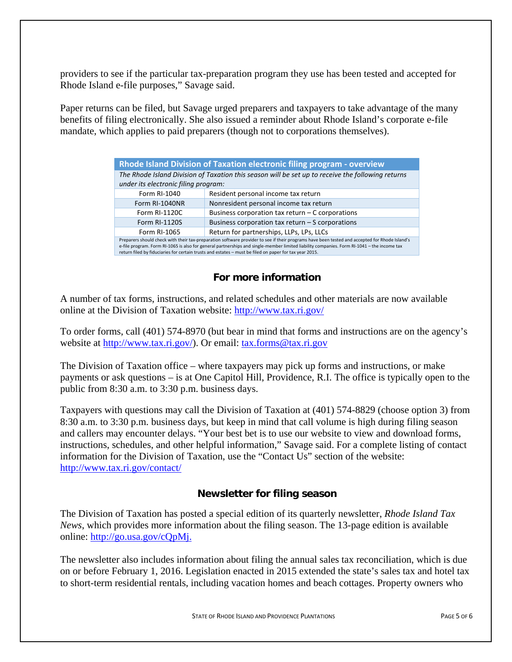providers to see if the particular tax-preparation program they use has been tested and accepted for Rhode Island e-file purposes," Savage said.

Paper returns can be filed, but Savage urged preparers and taxpayers to take advantage of the many benefits of filing electronically. She also issued a reminder about Rhode Island's corporate e-file mandate, which applies to paid preparers (though not to corporations themselves).

| Rhode Island Division of Taxation electronic filing program - overview                                                                    |                                                                                                                                                                                                                                                                                                                                                                                                       |  |
|-------------------------------------------------------------------------------------------------------------------------------------------|-------------------------------------------------------------------------------------------------------------------------------------------------------------------------------------------------------------------------------------------------------------------------------------------------------------------------------------------------------------------------------------------------------|--|
| The Rhode Island Division of Taxation this season will be set up to receive the following returns<br>under its electronic filing program: |                                                                                                                                                                                                                                                                                                                                                                                                       |  |
| Form RI-1040                                                                                                                              | Resident personal income tax return                                                                                                                                                                                                                                                                                                                                                                   |  |
| Form RI-1040NR                                                                                                                            | Nonresident personal income tax return                                                                                                                                                                                                                                                                                                                                                                |  |
| Form RI-1120C                                                                                                                             | Business corporation tax return $-$ C corporations                                                                                                                                                                                                                                                                                                                                                    |  |
| Form RI-1120S                                                                                                                             | Business corporation tax return $-$ S corporations                                                                                                                                                                                                                                                                                                                                                    |  |
| Form RI-1065                                                                                                                              | Return for partnerships, LLPs, LPs, LLCs                                                                                                                                                                                                                                                                                                                                                              |  |
|                                                                                                                                           | Preparers should check with their tax-preparation software provider to see if their programs have been tested and accepted for Rhode Island's<br>e-file program. Form RI-1065 is also for general partnerships and single-member limited liability companies. Form RI-1041 - the income tax<br>return filed by fiduciaries for certain trusts and estates - must be filed on paper for tax year 2015. |  |

### **For more information**

A number of tax forms, instructions, and related schedules and other materials are now available online at the Division of Taxation website: http://www.tax.ri.gov/

To order forms, call (401) 574-8970 (but bear in mind that forms and instructions are on the agency's website at http://www.tax.ri.gov/). Or email: tax.forms@tax.ri.gov

The Division of Taxation office – where taxpayers may pick up forms and instructions, or make payments or ask questions – is at One Capitol Hill, Providence, R.I. The office is typically open to the public from 8:30 a.m. to 3:30 p.m. business days.

Taxpayers with questions may call the Division of Taxation at (401) 574-8829 (choose option 3) from 8:30 a.m. to 3:30 p.m. business days, but keep in mind that call volume is high during filing season and callers may encounter delays. "Your best bet is to use our website to view and download forms, instructions, schedules, and other helpful information," Savage said. For a complete listing of contact information for the Division of Taxation, use the "Contact Us" section of the website: http://www.tax.ri.gov/contact/

### **Newsletter for filing season**

The Division of Taxation has posted a special edition of its quarterly newsletter, *Rhode Island Tax News*, which provides more information about the filing season. The 13-page edition is available online: http://go.usa.gov/cQpMj.

The newsletter also includes information about filing the annual sales tax reconciliation, which is due on or before February 1, 2016. Legislation enacted in 2015 extended the state's sales tax and hotel tax to short-term residential rentals, including vacation homes and beach cottages. Property owners who